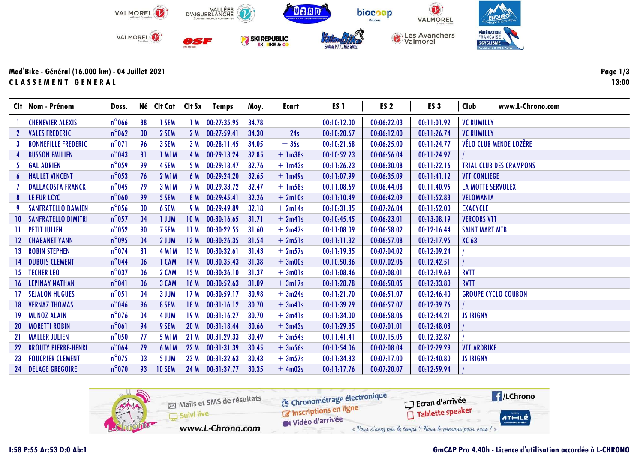

Mad'Bike - Général (16.000 km) - 04 Juillet 2021 CLASSEMENT GENERAL

|   | Clt Nom - Prénom              | Doss.           |                   |                    |                 | Né Clt Cat Clt Sx Temps | Moy.  | Ecart     | ES <sub>1</sub> | ES <sub>2</sub> | ES <sub>3</sub> | Club<br>www.L-Chrono.com       |
|---|-------------------------------|-----------------|-------------------|--------------------|-----------------|-------------------------|-------|-----------|-----------------|-----------------|-----------------|--------------------------------|
|   | <b>CHENEVIER ALEXIS</b>       | $n^{\circ}$ 066 | 88                | <b>1 SEM</b>       | 1 M             | 00:27:35.95             | 34.78 |           | 00:10:12.00     | 00:06:22.03     | 00:11:01.92     | <b>VC RUMILLY</b>              |
|   | 2 VALES FREDERIC              | $n^{\circ}$ 062 | 00                | 2 SEM              | 2M              | 00:27:59.41             | 34.30 | $+24s$    | 00:10:20.67     | 00:06:12.00     | 00:11:26.74     | <b>VC RUMILLY</b>              |
| 3 | <b>BONNEFILLE FREDERIC</b>    | $n^{\circ}071$  | 96                | 3 SEM              | 3M              | 00:28:11.45             | 34.05 | $+36s$    | 00:10:21.68     | 00:06:25.00     | 00:11:24.77     | VÉLO CLUB MENDE LOZÈRE         |
|   | <b>BUSSON EMILIEN</b>         | $n^{\circ}$ 043 | 81                | 1 MIM              | 4 M             | 00:29:13.24             | 32.85 | $+$ 1m38s | 00:10:52.23     | 00:06:56.04     | 00:11:24.97     |                                |
|   | 5 GAL ADRIEN                  | $n^{\circ}$ 059 | 99                | 4 SEM              | 5 M             | 00:29:18.47             | 32.76 | $+$ 1m43s | 00:11:26.23     | 00:06:30.08     | 00:11:22.16     | <b>TRIAL CLUB DES CRAMPONS</b> |
|   | <b>6 HAULET VINCENT</b>       | $n^{\circ}$ 053 | 76                | <b>2 M1M</b>       | 6 M             | 00:29:24.20             | 32.65 | $+$ 1m49s | 00:11:07.99     | 00:06:35.09     | 00:11:41.12     | <b>VTT CONLIEGE</b>            |
|   | <b>DALLACOSTA FRANCK</b>      | $n^{\circ}$ 045 | 79                | 3 M <sub>I</sub> M | 7 M             | 00:29:33.72             | 32.47 | $+$ 1m58s | 00:11:08.69     | 00:06:44.08     | 00:11:40.95     | LA MOTTE SERVOLEX              |
|   | 8 LE FUR LOTC                 | $n^{\circ}$ 060 | 99                | 5 SEM              | 8 M             | 00:29:45.41             | 32.26 | $+2$ ml0s | 00:11:10.49     | 00:06:42.09     | 00:11:52.83     | VELOMANIA                      |
|   | <b>SANFRATELLO DAMIEN</b>     | $n^{\circ}$ 056 | $\boldsymbol{00}$ | 6 SEM              | 9 M             | 00:29:49.89             | 32.18 | $+2ml4s$  | 00:10:31.85     | 00:07:26.04     | 00:11:52.00     | EXACYCLE                       |
|   | <b>10 SANFRATELLO DIMITRI</b> | $n^{\circ}$ 057 | 04                | 1 JUM              | <b>10 M</b>     | 00:30:16.65             | 31.71 | $+2m41s$  | 00:10:45.45     | 00:06:23.01     | 00:13:08.19     | <b>VERCORS VTT</b>             |
|   | <b>11 PETIT JULIEN</b>        | $n^{\circ}$ 052 | 90                | 7 SEM              | 11M             | 00:30:22.55             | 31.60 | $+2m47s$  | 00:11:08.09     | 00:06:58.02     | 00:12:16.44     | <b>SAINT MART MTB</b>          |
|   | 12 CHABANET YANN              | $n^{\circ}$ 095 | 04                | 2 JUM              | 12M             | 00:30:26.35             | 31.54 | $+2m51s$  | 00:11:11.32     | 00:06:57.08     | 00:12:17.95     | XC 63                          |
|   | <b>13 ROBIN STEPHEN</b>       | $n^{\circ}$ 074 | 81                | 4 M <sub>1</sub> M | 13M             | 00:30:32.61             | 31.43 | $+2m57s$  | 00:11:19.35     | 00:07:04.02     | 00:12:09.24     |                                |
|   | <b>14 DUBOIS CLEMENT</b>      | $n^{\circ}$ 044 | 06                | 1 CAM              | 14M             | 00:30:35.43             | 31.38 | $+3m00s$  | 00:10:50.86     | 00:07:02.06     | 00:12:42.51     |                                |
|   | 15 TECHER LEO                 | $n^{\circ}$ 037 | 06                | 2 CAM              | 15 M            | 00:30:36.10             | 31.37 | $+3m01s$  | 00:11:08.46     | 00:07:08.01     | 00:12:19.63     | <b>RVTT</b>                    |
|   | <b>16 LEPINAY NATHAN</b>      | $n^{\circ}041$  | 06                | 3 CAM              | 16M             | 00:30:52.63             | 31.09 | $+3ml7s$  | 00:11:28.78     | 00:06:50.05     | 00:12:33.80     | <b>RVTT</b>                    |
|   | <b>17 SEJALON HUGUES</b>      | $n^{\circ}051$  | 04                | 3 JUM              | 17 <sub>M</sub> | 00:30:59.17             | 30.98 | $+3m24s$  | 00:11:21.70     | 00:06:51.07     | 00:12:46.40     | <b>GROUPE CYCLO COUBON</b>     |
|   | <b>18 VERNAZ THOMAS</b>       | $n^{\circ}$ 046 | 96                | 8 SEM              | 18 M            | 00:31:16.12             | 30.70 | $+3m41s$  | 00:11:39.29     | 00:06:57.07     | 00:12:39.76     |                                |
|   | 19 MUNOZ ALAIN                | $n^{\circ}$ 076 | 04                | 4 JUM              | 19M             | 00:31:16.27             | 30.70 | $+3m41s$  | 00:11:34.00     | 00:06:58.06     | 00:12:44.21     | <b>JS IRIGNY</b>               |
|   | 20 MORETTI ROBIN              | $n^{\circ}061$  | 94                | 9 SEM              | 20 <sub>M</sub> | 00:31:18.44             | 30.66 | $+3m43s$  | 00:11:29.35     | 00:07:01.01     | 00:12:48.08     |                                |
|   | 21 MALLER JULIEN              | $n^{\circ}$ 050 | 77                | <b>5 M1M</b>       | 21M             | 00:31:29.33             | 30.49 | $+3m54s$  | 00:11:41.41     | 00:07:15.05     | 00:12:32.87     |                                |
|   | 22 BROUTY PIERRE-HENRI        | $n^{\circ}$ 064 | 79                | 6 M <sub>IM</sub>  | 22 M            | 00:31:31.39             | 30.45 | $+3m56s$  | 00:11:54.06     | 00:07:08.04     | 00:12:29.29     | <b>VTT ARDBIKE</b>             |
|   | <b>23 FOUCRIER CLEMENT</b>    | $n^{\circ}$ 075 | 03                | 5 JUM              | 23 M            | 00:31:32.63             | 30.43 | $+3m57s$  | 00:11:34.83     | 00:07:17.00     | 00:12:40.80     | <b>JS IRIGNY</b>               |
|   | 24 DELAGE GREGOIRE            | $n^{\circ}$ 070 | 93                | <b>10 SEM</b>      | 24 M            | 00:31:37.77             | 30.35 | $+4m02s$  | 00:11:17.76     | 00:07:20.07     | 00:12:59.94     |                                |

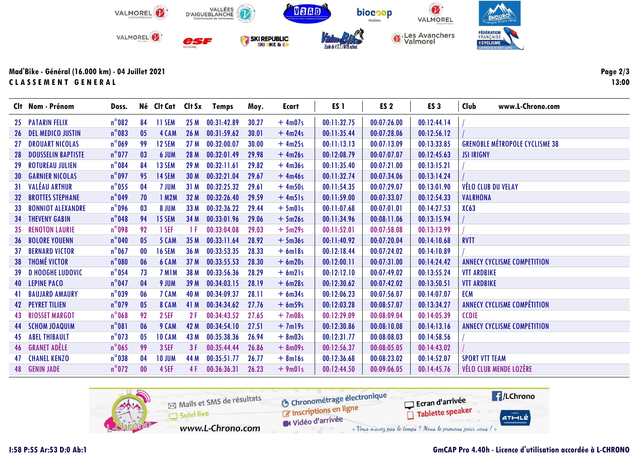

Mad'Bike - Général (16.000 km) - 04 Juillet 2021 CLASSEMENT GENERAL

|     | Clt Nom - Prénom             | Doss.           |                   |                    |                 | Né Clt Cat Clt Sx Temps | Moy.  | <b>Ecart</b> | ES <sub>1</sub> | ES <sub>2</sub> | ES <sub>3</sub> | Club                  | www.L-Chrono.com                      |
|-----|------------------------------|-----------------|-------------------|--------------------|-----------------|-------------------------|-------|--------------|-----------------|-----------------|-----------------|-----------------------|---------------------------------------|
|     | 25 PATARIN FELIX             | $n^{\circ}082$  | 84                | <b>11 SEM</b>      | 25 M            | 00:31:42.89             | 30.27 | $+4m07s$     | 00:11:32.75     | 00:07:26.00     | 00:12:44.14     |                       |                                       |
|     | <b>26 DEL MEDICO JUSTIN</b>  | $n^{\circ}083$  | 05                | 4 CAM              | 26 M            | 00:31:59.62             | 30.01 | $+4m24s$     | 00:11:35.44     | 00:07:28.06     | 00:12:56.12     |                       |                                       |
|     | <b>27 DROUART NICOLAS</b>    | $n^{\circ}$ 069 | 99                | 12 SEM             | 27M             | 00:32:00.07             | 30.00 | $+4m25s$     | 00:11:13.13     | 00:07:13.09     | 00:13:33.85     |                       | <b>GRENOBLE MÉTROPOLE CYCLISME 38</b> |
|     | <b>28 DOUSSELIN BAPTISTE</b> | $n^{\circ}$ 077 | 03                | 6 JUM              | 28 M            | 00:32:01.49             | 29.98 | $+4m26s$     | 00:12:08.79     | 00:07:07.07     | 00:12:45.63     | <b>JSI IRIGNY</b>     |                                       |
| 29  | <b>ROTUREAU JULIEN</b>       | $n^{\circ}084$  | 84                | 13 SEM             | 29 M            | 00:32:11.61             | 29.82 | $+4m36s$     | 00:11:35.40     | 00:07:21.00     | 00:13:15.21     |                       |                                       |
|     | <b>30 GARNIER NICOLAS</b>    | $n^{\circ}$ 097 | 95                | 14 SEM             | 30 <sub>M</sub> | 00:32:21.04             | 29.67 | $+4m46s$     | 00:11:32.74     | 00:07:34.06     | 00:13:14.24     |                       |                                       |
|     | 31 VALÉAU ARTHUR             | $n^{\circ}$ 055 | 04                | 7 JUM              | 31 M            | 00:32:25.32             | 29.61 | $+4m50s$     | 00:11:54.35     | 00:07:29.07     | 00:13:01.90     |                       | <b>VÉLO CLUB DU VELAY</b>             |
|     | <b>32 BROTTES STEPHANE</b>   | $n^{\circ}$ 049 | 70                | 1 M2M              | 32 M            | 00:32:26.40             | 29.59 | $+4m51s$     | 00:11:59.00     | 00:07:33.07     | 00:12:54.33     | <b>VALRHONA</b>       |                                       |
| 33  | <b>BONNIOT ALEXANDRE</b>     | $n^{\circ}$ 096 | 03                | 8 JUM              | 33 M            | 00:32:36.22             | 29.44 | $+5m01s$     | 00:11:07.68     | 00:07:01.01     | 00:14:27.53     | XC63                  |                                       |
|     | <b>34 THEVENY GABIN</b>      | $n^{\circ}$ 048 | 94                | 15 SEM             | 34 M            | 00:33:01.96             | 29.06 | $+5m26s$     | 00:11:34.96     | 00:08:11.06     | 00:13:15.94     |                       |                                       |
|     | 35 RENOTON LAURIE            | $n^{\circ}$ 098 | 92                | 1 SEF              | 1 F             | 00:33:04.08             | 29.03 | $+5m29s$     | 00:11:52.01     | 00:07:58.08     | 00:13:13.99     |                       |                                       |
|     | <b>36 BOLORE YOUENN</b>      | $n^{\circ}$ 040 | 05                | 5 CAM              | 35 M            | 00:33:11.64             | 28.92 | $+5m36s$     | 00:11:40.92     | 00:07:20.04     | 00:14:10.68     | <b>RVTT</b>           |                                       |
| -37 | <b>BERNARD VICTOR</b>        | $n^{\circ}$ 067 | $\boldsymbol{00}$ | <b>16 SEM</b>      | 36 M            | 00:33:53.35             | 28.33 | $+ 6$ ml8s   | 00:12:18.44     | 00:07:24.02     | 00:14:10.89     |                       |                                       |
|     | 38 THOMÉ VICTOR              | $n^{\circ}080$  | 06                | 6 CAM              | 37 M            | 00:33:55.53             | 28.30 | $+ 6m20s$    | 00:12:00.11     | 00:07:31.00     | 00:14:24.42     |                       | <b>ANNECY CYCLISME COMPETITION</b>    |
|     | <b>39 D HOOGHE LUDOVIC</b>   | $n^{\circ}$ 054 | 73                | 7 M <sub>I</sub> M | 38 M            | 00:33:56.36             | 28.29 | $+ 6m21s$    | 00:12:12.10     | 00:07:49.02     | 00:13:55.24     | <b>VTT ARDBIKE</b>    |                                       |
|     | 40 LEPINE PACO               | $n^{\circ}$ 047 | 04                | 9 JUM              | 39 M            | 00:34:03.15             | 28.19 | $+6m28s$     | 00:12:30.62     | 00:07:42.02     | 00:13:50.51     | <b>VTT ARDBIKE</b>    |                                       |
| 41  | <b>BAUJARD AMAURY</b>        | $n^{\circ}$ 039 | 06                | 7 CAM              | 40 M            | 00:34:09.37             | 28.11 | $+ 6m34s$    | 00:12:06.23     | 00:07:56.07     | 00:14:07.07     | <b>ECM</b>            |                                       |
|     | <b>42 PEYRET TILIEN</b>      | $n^{\circ}$ 079 | 0 <sub>5</sub>    | 8 CAM              | 41 M            | 00:34:34.62             | 27.76 | $+ 6m59s$    | 00:12:03.28     | 00:08:57.07     | 00:13:34.27     |                       | <b>ANNECY CYCLISME COMPÉTITION</b>    |
|     | <b>43 RIOSSET MARGOT</b>     | $n^{\circ}$ 068 | 92                | 2 SEF              | 2F              | 00:34:43.52             | 27.65 | $+7m08s$     | 00:12:29.09     | 00:08:09.04     | 00:14:05.39     | <b>CCDIE</b>          |                                       |
|     | 44 SCHOM JOAQUIM             | $n^{\circ}081$  | 06                | 9 CAM              | 42 M            | 00:34:54.10             | 27.51 | $+7m19s$     | 00:12:30.86     | 00:08:10.08     | 00:14:13.16     |                       | <b>ANNECY CYCLISME COMPETITION</b>    |
|     | <b>45 ABEL THIBAULT</b>      | $n^{\circ}$ 073 | 05                | <b>10 CAM</b>      | 43 M            | 00:35:38.36             | 26.94 | $+8m03s$     | 00:12:31.77     | 00:08:08.03     | 00:14:58.56     |                       |                                       |
|     | 46 GRANET ADÈLE              | $n^{\circ}$ 065 | 99                | 3 SEF              | 3F              | 00:35:44.44             | 26.86 | $+ 8m09s$    | 00:12:56.37     | 00:08:05.05     | 00:14:43.02     |                       |                                       |
|     | <b>47 CHANEL KENZO</b>       | $n^{\circ}$ 038 | 04                | <b>10 JUM</b>      | 44 M            | 00:35:51.77             | 26.77 | $+ 8$ ml6s   | 00:12:36.68     | 00:08:23.02     | 00:14:52.07     | <b>SPORT VTT TEAM</b> |                                       |
|     | <b>48 GENIN JADE</b>         | $n^{\circ}$ 072 | 00                | 4 SEF              | 4 F             | 00:36:36.31             | 26.23 | $+9m01s$     | 00:12:44.50     | 00:09:06.05     | 00:14:45.76     |                       | <b>VÉLO CLUB MENDE LOZÈRE</b>         |